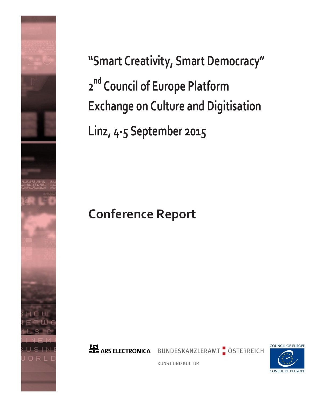

**"Smart Creativity, Smart Democracy" 2 nd Council of Europe Platform Exchange on Culture and Digitisation Linz, 4-5 September 2015**

# **Conference Report**



BUNDESKANZLERAMT ÖSTERREICH



**KUNST UND KULTUR**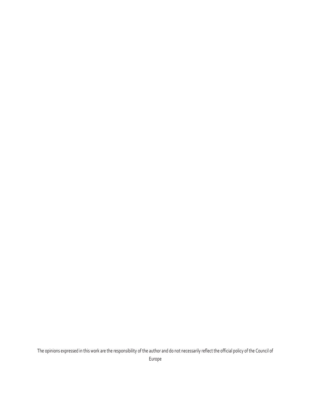The opinions expressed in this work are the responsibility of the author and do not necessarily reflect the official policy of the Council of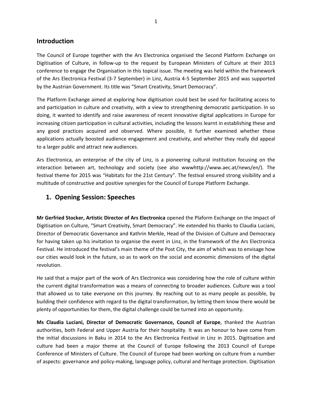## **Introduction**

The Council of Europe together with the Ars Electronica organised the Second Platform Exchange on Digitisation of Culture, in follow-up to the request by European Ministers of Culture at their 2013 conference to engage the Organisation in this topical issue. The meeting was held within the framework of the Ars Electronica Festival (3-7 September) in Linz, Austria 4-5 September 2015 and was supported by the Austrian Government. Its title was "Smart Creativity, Smart Democracy".

The Platform Exchange aimed at exploring how digitisation could best be used for facilitating access to and participation in culture and creativity, with a view to strengthening democratic participation. In so doing, it wanted to identify and raise awareness of recent innovative digital applications in Europe for increasing citizen participation in cultural activities, including the lessons learnt in establishing these and any good practices acquired and observed. Where possible, it further examined whether these applications actually boosted audience engagement and creativity, and whether they really did appeal to a larger public and attract new audiences.

Ars Electronica, an enterprise of the city of Linz, is a pioneering cultural institution focusing on the interaction between art, technology and society (see also wwwhttp://www.aec.at/news/en/). The festival theme for 2015 was "Habitats for the 21st Century". The festival ensured strong visibility and a multitude of constructive and positive synergies for the Council of Europe Platform Exchange.

## **1. Opening Session: Speeches**

**Mr Gerfried Stocker, Artistic Director of Ars Electronica** opened the Plaform Exchange on the Impact of Digitisation on Culture, "Smart Creativity, Smart Democracy". He extended his thanks to Claudia Luciani, Director of Democratic Governance and Kathrin Merkle, Head of the Division of Culture and Democracy for having taken up his invitation to organise the event in Linz, in the framework of the Ars Electronica Festival. He introduced the festival's main theme of the Post City, the aim of which was to envisage how our cities would look in the future, so as to work on the social and economic dimensions of the digital revolution.

He said that a major part of the work of Ars Electronica was considering how the role of culture within the current digital transformation was a means of connecting to broader audiences. Culture was a tool that allowed us to take everyone on this journey. By reaching out to as many people as possible, by building their confidence with regard to the digital transformation, by letting them know there would be plenty of opportunities for them, the digital challenge could be turned into an opportunity.

**Ms Claudia Luciani, Director of Democratic Governance, Council of Europe**, thanked the Austrian authorities, both Federal and Upper Austria for their hospitality. It was an honour to have come from the initial discussions in Baku in 2014 to the Ars Electronica Festival in Linz in 2015. Digitisation and culture had been a major theme at the Council of Europe following the 2013 Council of Europe Conference of Ministers of Culture. The Council of Europe had been working on culture from a number of aspects: governance and policy-making, language policy, cultural and heritage protection. Digitisation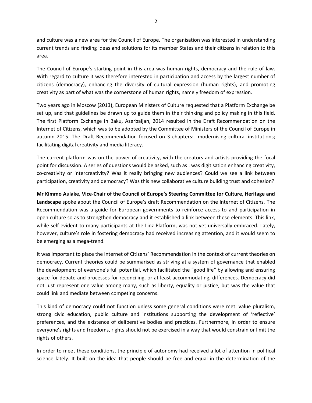and culture was a new area for the Council of Europe. The organisation was interested in understanding current trends and finding ideas and solutions for its member States and their citizens in relation to this area.

The Council of Europe's starting point in this area was human rights, democracy and the rule of law. With regard to culture it was therefore interested in participation and access by the largest number of citizens (democracy), enhancing the diversity of cultural expression (human rights), and promoting creativity as part of what was the cornerstone of human rights, namely freedom of expression.

Two years ago in Moscow (2013), European Ministers of Culture requested that a Platform Exchange be set up, and that guidelines be drawn up to guide them in their thinking and policy making in this field. The first Platform Exchange in Baku, Azerbaijan, 2014 resulted in the Draft Recommendation on the Internet of Citizens, which was to be adopted by the Committee of Ministers of the Council of Europe in autumn 2015. The Draft Recommendation focused on 3 chapters: modernising cultural institutions; facilitating digital creativity and media literacy.

The current platform was on the power of creativity, with the creators and artists providing the focal point for discussion. A series of questions would be asked, such as : was digitisation enhancing creativity, co-creativity or intercreativity? Was it really bringing new audiences? Could we see a link between participation, creativity and democracy? Was this new collaborative culture building trust and cohesion?

**Mr Kimmo Aulake, Vice-Chair of the Council of Europe's Steering Committee for Culture, Heritage and Landscape** spoke about the Council of Europe's draft Recommendation on the Internet of Citizens. The Recommendation was a guide for European governments to reinforce access to and participation in open culture so as to strengthen democracy and it established a link between these elements. This link, while self-evident to many participants at the Linz Platform, was not yet universally embraced. Lately, however, culture's role in fostering democracy had received increasing attention, and it would seem to be emerging as a mega-trend.

It was important to place the Internet of Citizens' Recommendation in the context of current theories on democracy. Current theories could be summarised as striving at a system of governance that enabled the development of everyone's full potential, which facilitated the "good life" by allowing and ensuring space for debate and processes for reconciling, or at least accommodating, differences. Democracy did not just represent one value among many, such as liberty, equality or justice, but was the value that could link and mediate between competing concerns.

This kind of democracy could not function unless some general conditions were met: value pluralism, strong civic education, public culture and institutions supporting the development of 'reflective' preferences, and the existence of deliberative bodies and practices. Furthermore, in order to ensure everyone's rights and freedoms, rights should not be exercised in a way that would constrain or limit the rights of others.

In order to meet these conditions, the principle of autonomy had received a lot of attention in political science lately. It built on the idea that people should be free and equal in the determination of the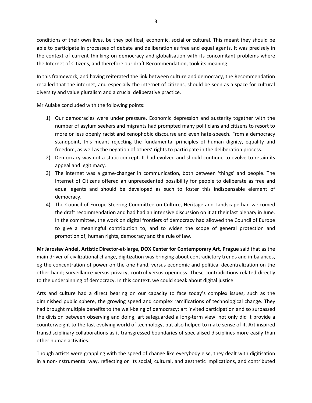conditions of their own lives, be they political, economic, social or cultural. This meant they should be able to participate in processes of debate and deliberation as free and equal agents. It was precisely in the context of current thinking on democracy and globalisation with its concomitant problems where the Internet of Citizens, and therefore our draft Recommendation, took its meaning.

In this framework, and having reiterated the link between culture and democracy, the Recommendation recalled that the internet, and especially the internet of citizens, should be seen as a space for cultural diversity and value pluralism and a crucial deliberative practice.

Mr Aulake concluded with the following points:

- 1) Our democracies were under pressure. Economic depression and austerity together with the number of asylum seekers and migrants had prompted many politicians and citizens to resort to more or less openly racist and xenophobic discourse and even hate-speech. From a democracy standpoint, this meant rejecting the fundamental principles of human dignity, equality and freedom, as well as the negation of others' rights to participate in the deliberation process.
- 2) Democracy was not a static concept. It had evolved and should continue to evolve to retain its appeal and legitimacy.
- 3) The internet was a game-changer in communication, both between 'things' and people. The Internet of Citizens offered an unprecedented possibility for people to deliberate as free and equal agents and should be developed as such to foster this indispensable element of democracy.
- 4) The Council of Europe Steering Committee on Culture, Heritage and Landscape had welcomed the draft recommendation and had had an intensive discussion on it at their last plenary in June. In the committee, the work on digital frontiers of democracy had allowed the Council of Europe to give a meaningful contribution to, and to widen the scope of general protection and promotion of, human rights, democracy and the rule of law.

**Mr Jaroslav Andel, Artistic Director-at-large, DOX Center for Contemporary Art, Prague** said that as the main driver of civilizational change, digitization was bringing about contradictory trends and imbalances, eg the concentration of power on the one hand, versus economic and political decentralization on the other hand; surveillance versus privacy, control versus openness. These contradictions related directly to the underpinning of democracy. In this context, we could speak about digital justice.

Arts and culture had a direct bearing on our capacity to face today's complex issues, such as the diminished public sphere, the growing speed and complex ramifications of technological change. They had brought multiple benefits to the well-being of democracy: art invited participation and so surpassed the division between observing and doing; art safeguarded a long-term view: not only did it provide a counterweight to the fast evolving world of technology, but also helped to make sense of it. Art inspired transdisciplinary collaborations as it transgressed boundaries of specialised disciplines more easily than other human activities.

Though artists were grappling with the speed of change like everybody else, they dealt with digitisation in a non-instrumental way, reflecting on its social, cultural, and aesthetic implications, and contributed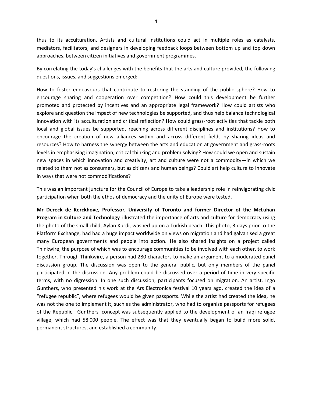thus to its acculturation. Artists and cultural institutions could act in multiple roles as catalysts, mediators, facilitators, and designers in developing feedback loops between bottom up and top down approaches, between citizen initiatives and government programmes.

By correlating the today's challenges with the benefits that the arts and culture provided, the following questions, issues, and suggestions emerged:

How to foster endeavours that contribute to restoring the standing of the public sphere? How to encourage sharing and cooperation over competition? How could this development be further promoted and protected by incentives and an appropriate legal framework? How could artists who explore and question the impact of new technologies be supported, and thus help balance technological innovation with its acculturation and critical reflection? How could grass-root activities that tackle both local and global issues be supported, reaching across different disciplines and institutions? How to encourage the creation of new alliances within and across different fields by sharing ideas and resources? How to harness the synergy between the arts and education at government and grass-roots levels in emphasising imagination, critical thinking and problem solving? How could we open and sustain new spaces in which innovation and creativity, art and culture were not a commodity—in which we related to them not as consumers, but as citizens and human beings? Could art help culture to innovate in ways that were not commodifications?

This was an important juncture for the Council of Europe to take a leadership role in reinvigorating civic participation when both the ethos of democracy and the unity of Europe were tested.

**Mr Dereck de Kerckhove, Professor, University of Toronto and former Director of the McLuhan Program in Culture and Technology** illustrated the importance of arts and culture for democracy using the photo of the small child, Aylan Kurdi, washed up on a Turkish beach. This photo, 3 days prior to the Platform Exchange, had had a huge impact worldwide on views on migration and had galvanised a great many European governments and people into action. He also shared insights on a project called Thinkwire, the purpose of which was to encourage communities to be involved with each other, to work together. Through Thinkwire, a person had 280 characters to make an argument to a moderated panel discussion group. The discussion was open to the general public, but only members of the panel participated in the discussion. Any problem could be discussed over a period of time in very specific terms, with no digression. In one such discussion, participants focused on migration. An artist, Ingo Gunthers, who presented his work at the Ars Electronica festival 10 years ago, created the idea of a "refugee republic", where refugees would be given passports. While the artist had created the idea, he was not the one to implement it, such as the administrator, who had to organise passports for refugees of the Republic. Gunthers' concept was subsequently applied to the development of an Iraqi refugee village, which had 58 000 people. The effect was that they eventually began to build more solid, permanent structures, and established a community.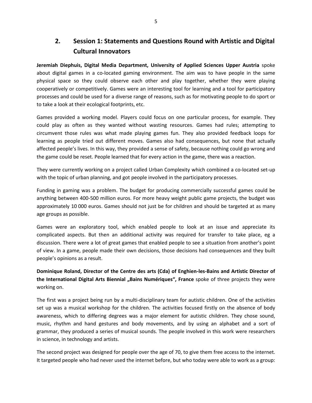## **2. Session 1: Statements and Questions Round with Artistic and Digital Cultural Innovators**

**Jeremiah Diephuis, Digital Media Department, University of Applied Sciences Upper Austria** spoke about digital games in a co-located gaming environment. The aim was to have people in the same physical space so they could observe each other and play together, whether they were playing cooperatively or competitively. Games were an interesting tool for learning and a tool for participatory processes and could be used for a diverse range of reasons, such as for motivating people to do sport or to take a look at their ecological footprints, etc.

Games provided a working model. Players could focus on one particular process, for example. They could play as often as they wanted without wasting resources. Games had rules; attempting to circumvent those rules was what made playing games fun. They also provided feedback loops for learning as people tried out different moves. Games also had consequences, but none that actually affected people's lives. In this way, they provided a sense of safety, because nothing could go wrong and the game could be reset. People learned that for every action in the game, there was a reaction.

They were currently working on a project called Urban Complexity which combined a co-located set-up with the topic of urban planning, and got people involved in the participatory processes.

Funding in gaming was a problem. The budget for producing commercially successful games could be anything between 400-500 million euros. For more heavy weight public game projects, the budget was approximately 10 000 euros. Games should not just be for children and should be targeted at as many age groups as possible.

Games were an exploratory tool, which enabled people to look at an issue and appreciate its complicated aspects. But then an additional activity was required for transfer to take place, eg a discussion. There were a lot of great games that enabled people to see a situation from another's point of view. In a game, people made their own decisions, those decisions had consequences and they built people's opinions as a result.

**Dominique Roland, Director of the Centre des arts (Cda) of Enghien-les-Bains and Artistic Director of**  the International Digital Arts Biennial "Bains Numériques", France spoke of three projects they were working on.

The first was a project being run by a multi-disciplinary team for autistic children. One of the activities set up was a musical workshop for the children. The activities focused firstly on the absence of body awareness, which to differing degrees was a major element for autistic children. They chose sound, music, rhythm and hand gestures and body movements, and by using an alphabet and a sort of grammar, they produced a series of musical sounds. The people involved in this work were researchers in science, in technology and artists.

The second project was designed for people over the age of 70, to give them free access to the internet. It targeted people who had never used the internet before, but who today were able to work as a group: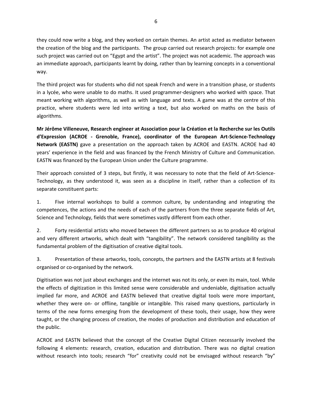they could now write a blog, and they worked on certain themes. An artist acted as mediator between the creation of the blog and the participants. The group carried out research projects: for example one such project was carried out on "Egypt and the artist". The project was not academic. The approach was an immediate approach, participants learnt by doing, rather than by learning concepts in a conventional way.

The third project was for students who did not speak French and were in a transition phase, or students in a lycée, who were unable to do maths. It used programmer-designers who worked with space. That meant working with algorithms, as well as with language and texts. A game was at the centre of this practice, where students were led into writing a text, but also worked on maths on the basis of algorithms.

**Mr Jérôme Villeneuve, Research engineer at Association pour la Création et la Recherche sur les Outils d'Expression (ACROE - Grenoble, France), coordinator of the European Art-Science-Technology Network (EASTN)** gave a presentation on the approach taken by ACROE and EASTN. ACROE had 40 years' experience in the field and was financed by the French Ministry of Culture and Communication. EASTN was financed by the European Union under the Culture programme.

Their approach consisted of 3 steps, but firstly, it was necessary to note that the field of Art-Science-Technology, as they understood it, was seen as a discipline in itself, rather than a collection of its separate constituent parts:

1. Five internal workshops to build a common culture, by understanding and integrating the competences, the actions and the needs of each of the partners from the three separate fields of Art, Science and Technology, fields that were sometimes vastly different from each other.

2. Forty residential artists who moved between the different partners so as to produce 40 original and very different artworks, which dealt with "tangibility". The network considered tangibility as the fundamental problem of the digitisation of creative digital tools.

3. Presentation of these artworks, tools, concepts, the partners and the EASTN artists at 8 festivals organised or co-organised by the network.

Digitisation was not just about exchanges and the internet was not its only, or even its main, tool. While the effects of digitization in this limited sense were considerable and undeniable, digitisation actually implied far more, and ACROE and EASTN believed that creative digital tools were more important, whether they were on- or offline, tangible or intangible. This raised many questions, particularly in terms of the new forms emerging from the development of these tools, their usage, how they were taught, or the changing process of creation, the modes of production and distribution and education of the public.

ACROE and EASTN believed that the concept of the Creative Digital Citizen necessarily involved the following 4 elements: research, creation, education and distribution. There was no digital creation without research into tools; research "for" creativity could not be envisaged without research "by"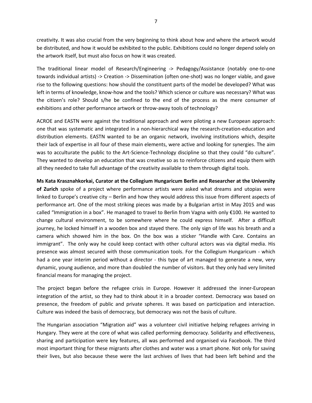creativity. It was also crucial from the very beginning to think about how and where the artwork would be distributed, and how it would be exhibited to the public. Exhibitions could no longer depend solely on the artwork itself, but must also focus on how it was created.

The traditional linear model of Research/Engineering -> Pedagogy/Assistance (notably one-to-one towards individual artists) -> Creation -> Dissemination (often one-shot) was no longer viable, and gave rise to the following questions: how should the constituent parts of the model be developed? What was left in terms of knowledge, know-how and the tools? Which science or culture was necessary? What was the citizen's role? Should s/he be confined to the end of the process as the mere consumer of exhibitions and other performance artwork or throw-away tools of technology?

ACROE and EASTN were against the traditional approach and were piloting a new European approach: one that was systematic and integrated in a non-hierarchical way the research-creation-education and distribution elements. EASTN wanted to be an organic network, involving institutions which, despite their lack of expertise in all four of these main elements, were active and looking for synergies. The aim was to acculturate the public to the Art-Science-Technology discipline so that they could "do culture". They wanted to develop an education that was creative so as to reinforce citizens and equip them with all they needed to take full advantage of the creativity available to them through digital tools.

**Ms Kata Krasznahkorkai, Curator at the Collegium Hungaricum Berlin and Researcher at the University of Zurich** spoke of a project where performance artists were asked what dreams and utopias were linked to Europe's creative city – Berlin and how they would address this issue from different aspects of performance art. One of the most striking pieces was made by a Bulgarian artist in May 2015 and was called "Immigration in a box". He managed to travel to Berlin from Vagna with only €100. He wanted to change cultural environment, to be somewhere where he could express himself. After a difficult journey, he locked himself in a wooden box and stayed there. The only sign of life was his breath and a camera which showed him in the box. On the box was a sticker "Handle with Care. Contains an immigrant". The only way he could keep contact with other cultural actors was via digital media. His presence was almost secured with those communication tools. For the Collegium Hungaricum - which had a one year interim period without a director - this type of art managed to generate a new, very dynamic, young audience, and more than doubled the number of visitors. But they only had very limited financial means for managing the project.

The project began before the refugee crisis in Europe. However it addressed the inner-European integration of the artist, so they had to think about it in a broader context. Democracy was based on presence, the freedom of public and private spheres. It was based on participation and interaction. Culture was indeed the basis of democracy, but democracy was not the basis of culture.

The Hungarian association "Migration aid" was a volunteer civil initiative helping refugees arriving in Hungary. They were at the core of what was called performing democracy. Solidarity and effectiveness, sharing and participation were key features, all was performed and organised via Facebook. The third most important thing for these migrants after clothes and water was a smart phone. Not only for saving their lives, but also because these were the last archives of lives that had been left behind and the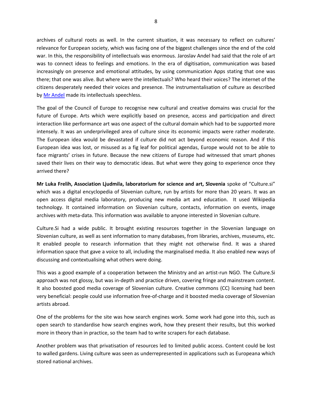archives of cultural roots as well. In the current situation, it was necessary to reflect on cultures' relevance for European society, which was facing one of the biggest challenges since the end of the cold war. In this, the responsibility of intellectuals was enormous. Jaroslav Andel had said that the role of art was to connect ideas to feelings and emotions. In the era of digitisation, communication was based increasingly on presence and emotional attitudes, by using communication Apps stating that one was there; that one was alive. But where were the intellectuals? Who heard their voices? The internet of the citizens desperately needed their voices and presence. The instrumentalisation of culture as described by [Mr Andel](http://www.coe.int/t/dg4/cultureheritage/culture/digitisation/Background_Andel_EN.pdf) made its intellectuals speechless.

The goal of the Council of Europe to recognise new cultural and creative domains was crucial for the future of Europe. Arts which were explicitly based on presence, access and participation and direct interaction like performance art was one aspect of the cultural domain which had to be supported more intensely. It was an underprivileged area of culture since its economic impacts were rather moderate. The European idea would be devastated if culture did not act beyond economic reason. And if this European idea was lost, or misused as a fig leaf for political agendas, Europe would not to be able to face migrants' crises in future. Because the new citizens of Europe had witnessed that smart phones saved their lives on their way to democratic ideas. But what were they going to experience once they arrived there?

**Mr Luka Frelih, Association Ljudmila, laboratorium for science and art, Slovenia** spoke of "Culture.si" which was a digital encyclopedia of Slovenian culture, run by artists for more than 20 years. It was an open access digital media laboratory, producing new media art and education. It used Wikipedia technology. It contained information on Slovenian culture, contacts, information on events, image archives with meta-data. This information was available to anyone interested in Slovenian culture.

Culture.Si had a wide public. It brought existing resources together in the Slovenian language on Slovenian culture, as well as sent information to many databases, from libraries, archives, museums, etc. It enabled people to research information that they might not otherwise find. It was a shared information space that gave a voice to all, including the marginalised media. It also enabled new ways of discussing and contextualising what others were doing.

This was a good example of a cooperation between the Ministry and an artist-run NGO. The Culture.Si approach was not glossy, but was in-depth and practice driven, covering fringe and mainstream content. It also boosted good media coverage of Slovenian culture. Creative commons (CC) licensing had been very beneficial: people could use information free-of-charge and it boosted media coverage of Slovenian artists abroad.

One of the problems for the site was how search engines work. Some work had gone into this, such as open search to standardise how search engines work, how they present their results, but this worked more in theory than in practice, so the team had to write scrapers for each database.

Another problem was that privatisation of resources led to limited public access. Content could be lost to walled gardens. Living culture was seen as underrepresented in applications such as Europeana which stored national archives.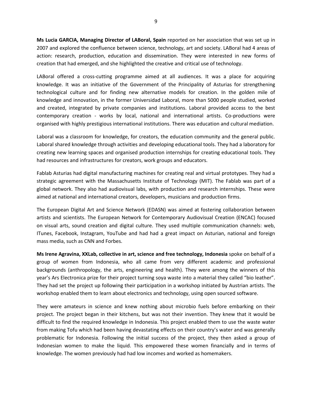**Ms Lucia GARCIA, Managing Director of LABoral, Spain** reported on her association that was set up in 2007 and explored the confluence between science, technology, art and society. LABoral had 4 areas of action: research, production, education and dissemination. They were interested in new forms of creation that had emerged, and she highlighted the creative and critical use of technology.

LABoral offered a cross-cutting programme aimed at all audiences. It was a place for acquiring knowledge. It was an initiative of the Government of the Principality of Asturias for strengthening technological culture and for finding new alternative models for creation. In the golden mile of knowledge and innovation, in the former Universidad Laboral, more than 5000 people studied, worked and created, integrated by private companies and institutions. Laboral provided access to the best contemporary creation - works by local, national and international artists. Co-productions were organised with highly prestigious international institutions. There was education and cultural mediation.

Laboral was a classroom for knowledge, for creators, the education community and the general public. Laboral shared knowledge through activities and developing educational tools. They had a laboratory for creating new learning spaces and organised production internships for creating educational tools. They had resources and infrastructures for creators, work groups and educators.

Fablab Asturias had digital manufacturing machines for creating real and virtual prototypes. They had a strategic agreement with the Massachusetts Institute of Technology (MIT). The Fablab was part of a global network. They also had audiovisual labs, with production and research internships. These were aimed at national and international creators, developers, musicians and production firms.

The European Digital Art and Science Network (EDASN) was aimed at fostering collaboration between artists and scientists. The European Network for Contemporary Audiovisual Creation (ENCAC) focused on visual arts, sound creation and digital culture. They used multiple communication channels: web, ITunes, Facebook, Instagram, YouTube and had had a great impact on Asturian, national and foreign mass media, such as CNN and Forbes.

**Ms Irene Agravina, XXLab, collective in art, science and free technology, Indonesia** spoke on behalf of a group of women from Indonesia, who all came from very different academic and professional backgrounds (anthropology, the arts, engineering and health). They were among the winners of this year's Ars Electronica prize for their project turning soya waste into a material they called "bio leather". They had set the project up following their participation in a workshop initiated by Austrian artists. The workshop enabled them to learn about electronics and technology, using open sourced software.

They were amateurs in science and knew nothing about microbio fuels before embarking on their project. The project began in their kitchens, but was not their invention. They knew that it would be difficult to find the required knowledge in Indonesia. This project enabled them to use the waste water from making Tofu which had been having devastating effects on their country's water and was generally problematic for Indonesia. Following the initial success of the project, they then asked a group of Indonesian women to make the liquid. This empowered these women financially and in terms of knowledge. The women previously had had low incomes and worked as homemakers.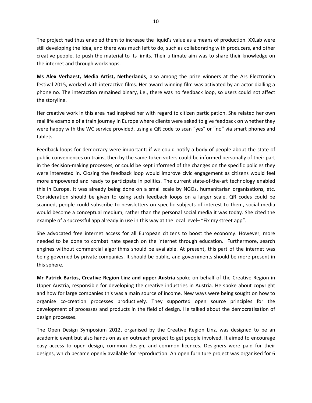The project had thus enabled them to increase the liquid's value as a means of production. XXLab were still developing the idea, and there was much left to do, such as collaborating with producers, and other creative people, to push the material to its limits. Their ultimate aim was to share their knowledge on the internet and through workshops.

**Ms Alex Verhaest, Media Artist, Netherlands**, also among the prize winners at the Ars Electronica festival 2015, worked with interactive films. Her award-winning film was activated by an actor dialling a phone no. The interaction remained binary, i.e., there was no feedback loop, so users could not affect the storyline.

Her creative work in this area had inspired her with regard to citizen participation. She related her own real life example of a train journey in Europe where clients were asked to give feedback on whether they were happy with the WC service provided, using a QR code to scan "yes" or "no" via smart phones and tablets.

Feedback loops for democracy were important: if we could notify a body of people about the state of public conveniences on trains, then by the same token voters could be informed personally of their part in the decision-making processes, or could be kept informed of the changes on the specific policies they were interested in. Closing the feedback loop would improve civic engagement as citizens would feel more empowered and ready to participate in politics. The current state-of-the-art technology enabled this in Europe. It was already being done on a small scale by NGOs, humanitarian organisations, etc. Consideration should be given to using such feedback loops on a larger scale. QR codes could be scanned, people could subscribe to newsletters on specific subjects of interest to them, social media would become a conceptual medium, rather than the personal social media it was today. She cited the example of a successful app already in use in this way at the local level– "Fix my street app".

She advocated free internet access for all European citizens to boost the economy. However, more needed to be done to combat hate speech on the internet through education. Furthermore, search engines without commercial algorithms should be available. At present, this part of the internet was being governed by private companies. It should be public, and governments should be more present in this sphere.

**Mr Patrick Bartos, Creative Region Linz and upper Austria** spoke on behalf of the Creative Region in Upper Austria, responsible for developing the creative industries in Austria. He spoke about copyright and how for large companies this was a main source of income. New ways were being sought on how to organise co-creation processes productively. They supported open source principles for the development of processes and products in the field of design. He talked about the democratisation of design processes.

The Open Design Symposium 2012, organised by the Creative Region Linz, was designed to be an academic event but also hands on as an outreach project to get people involved. It aimed to encourage easy access to open design, common design, and common licences. Designers were paid for their designs, which became openly available for reproduction. An open furniture project was organised for 6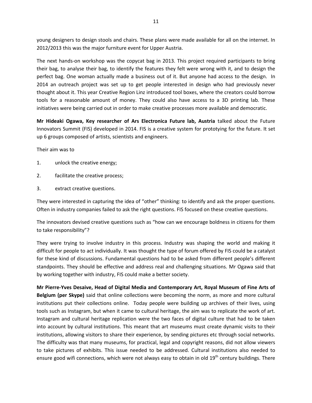young designers to design stools and chairs. These plans were made available for all on the internet. In 2012/2013 this was the major furniture event for Upper Austria.

The next hands-on workshop was the copycat bag in 2013. This project required participants to bring their bag, to analyse their bag, to identify the features they felt were wrong with it, and to design the perfect bag. One woman actually made a business out of it. But anyone had access to the design. In 2014 an outreach project was set up to get people interested in design who had previously never thought about it. This year Creative Region Linz introduced tool boxes, where the creators could borrow tools for a reasonable amount of money. They could also have access to a 3D printing lab. These initiatives were being carried out in order to make creative processes more available and democratic.

**Mr Hideaki Ogawa, Key researcher of Ars Electronica Future lab, Austria** talked about the Future Innovators Summit (FIS) developed in 2014. FIS is a creative system for prototying for the future. It set up 6 groups composed of artists, scientists and engineers.

Their aim was to

- 1. unlock the creative energy;
- 2. facilitate the creative process;
- 3. extract creative questions.

They were interested in capturing the idea of "other" thinking: to identify and ask the proper questions. Often in industry companies failed to ask the right questions. FIS focused on these creative questions.

The innovators devised creative questions such as "how can we encourage boldness in citizens for them to take responsibility"?

They were trying to involve industry in this process. Industry was shaping the world and making it difficult for people to act individually. It was thought the type of forum offered by FIS could be a catalyst for these kind of discussions. Fundamental questions had to be asked from different people's different standpoints. They should be effective and address real and challenging situations. Mr Ogawa said that by working together with industry, FIS could make a better society.

**Mr Pierre-Yves Desaive, Head of Digital Media and Contemporary Art, Royal Museum of Fine Arts of Belgium (per Skype)** said that online collections were becoming the norm, as more and more cultural institutions put their collections online. Today people were building up archives of their lives, using tools such as Instagram, but when it came to cultural heritage, the aim was to replicate the work of art. Instagram and cultural heritage replication were the two faces of digital culture that had to be taken into account by cultural institutions. This meant that art museums must create dynamic visits to their institutions, allowing visitors to share their experience, by sending pictures etc through social networks. The difficulty was that many museums, for practical, legal and copyright reasons, did not allow viewers to take pictures of exhibits. This issue needed to be addressed. Cultural institutions also needed to ensure good wifi connections, which were not always easy to obtain in old  $19<sup>th</sup>$  century buildings. There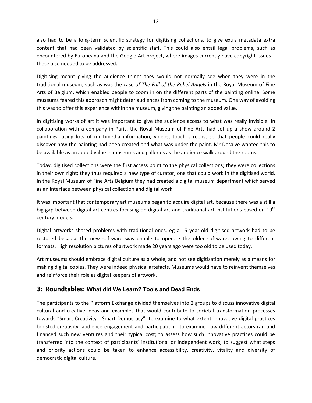also had to be a long-term scientific strategy for digitising collections, to give extra metadata extra content that had been validated by scientific staff. This could also entail legal problems, such as encountered by Europeana and the Google Art project, where images currently have copyright issues – these also needed to be addressed.

Digitising meant giving the audience things they would not normally see when they were in the traditional museum, such as was the case *of The Fall of the Rebel Angels* in the Royal Museum of Fine Arts of Belgium, which enabled people to zoom in on the different parts of the painting online. Some museums feared this approach might deter audiences from coming to the museum. One way of avoiding this was to offer this experience within the museum, giving the painting an added value.

In digitising works of art it was important to give the audience access to what was really invisible. In collaboration with a company in Paris, the Royal Museum of Fine Arts had set up a show around 2 paintings, using lots of multimedia information, videos, touch screens, so that people could really discover how the painting had been created and what was under the paint. Mr Desaive wanted this to be available as an added value in museums and galleries as the audience walk around the rooms.

Today, digitised collections were the first access point to the physical collections; they were collections in their own right; they thus required a new type of curator, one that could work in the digitised world. In the Royal Museum of Fine Arts Belgium they had created a digital museum department which served as an interface between physical collection and digital work.

It was important that contemporary art museums began to acquire digital art, because there was a still a big gap between digital art centres focusing on digital art and traditional art institutions based on 19<sup>th</sup> century models.

Digital artworks shared problems with traditional ones, eg a 15 year-old digitised artwork had to be restored because the new software was unable to operate the older software, owing to different formats. High resolution pictures of artwork made 20 years ago were too old to be used today.

Art museums should embrace digital culture as a whole, and not see digitisation merely as a means for making digital copies. They were indeed physical artefacts. Museums would have to reinvent themselves and reinforce their role as digital keepers of artwork.

## **3: Roundtables: What did We Learn? Tools and Dead Ends**

The participants to the Platform Exchange divided themselves into 2 groups to discuss innovative digital cultural and creative ideas and examples that would contribute to societal transformation processes towards "Smart Creativity - Smart Democracy"; to examine to what extent innovative digital practices boosted creativity, audience engagement and participation; to examine how different actors ran and financed such new ventures and their typical cost; to assess how such innovative practices could be transferred into the context of participants' institutional or independent work; to suggest what steps and priority actions could be taken to enhance accessibility, creativity, vitality and diversity of democratic digital culture.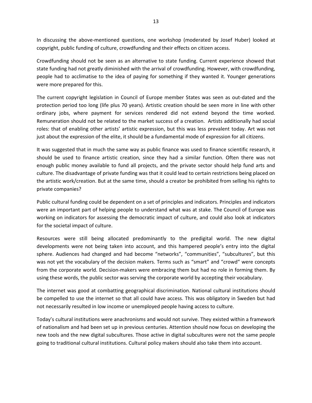In discussing the above-mentioned questions, one workshop (moderated by Josef Huber) looked at copyright, public funding of culture, crowdfunding and their effects on citizen access.

Crowdfunding should not be seen as an alternative to state funding. Current experience showed that state funding had not greatly diminished with the arrival of crowdfunding. However, with crowdfunding, people had to acclimatise to the idea of paying for something if they wanted it. Younger generations were more prepared for this.

The current copyright legislation in Council of Europe member States was seen as out-dated and the protection period too long (life plus 70 years). Artistic creation should be seen more in line with other ordinary jobs, where payment for services rendered did not extend beyond the time worked. Remuneration should not be related to the market success of a creation. Artists additionally had social roles: that of enabling other artists' artistic expression, but this was less prevalent today. Art was not just about the expression of the elite, it should be a fundamental mode of expression for all citizens.

It was suggested that in much the same way as public finance was used to finance scientific research, it should be used to finance artistic creation, since they had a similar function. Often there was not enough public money available to fund all projects, and the private sector should help fund arts and culture. The disadvantage of private funding was that it could lead to certain restrictions being placed on the artistic work/creation. But at the same time, should a creator be prohibited from selling his rights to private companies?

Public cultural funding could be dependent on a set of principles and indicators. Principles and indicators were an important part of helping people to understand what was at stake. The Council of Europe was working on indicators for assessing the democratic impact of culture, and could also look at indicators for the societal impact of culture.

Resources were still being allocated predominantly to the predigital world. The new digital developments were not being taken into account, and this hampered people's entry into the digital sphere. Audiences had changed and had become "networks", "communities", "subcultures", but this was not yet the vocabulary of the decision makers. Terms such as "smart" and "crowd" were concepts from the corporate world. Decision-makers were embracing them but had no role in forming them. By using these words, the public sector was serving the corporate world by accepting their vocabulary.

The internet was good at combatting geographical discrimination. National cultural institutions should be compelled to use the internet so that all could have access. This was obligatory in Sweden but had not necessarily resulted in low income or unemployed people having access to culture.

Today's cultural institutions were anachronisms and would not survive. They existed within a framework of nationalism and had been set up in previous centuries. Attention should now focus on developing the new tools and the new digital subcultures. Those active in digital subcultures were not the same people going to traditional cultural institutions. Cultural policy makers should also take them into account.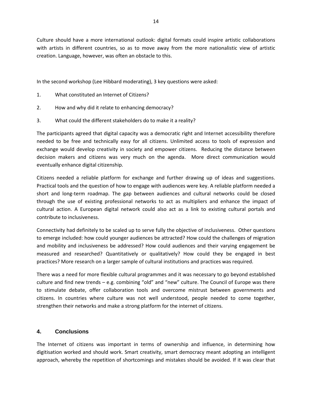Culture should have a more international outlook: digital formats could inspire artistic collaborations with artists in different countries, so as to move away from the more nationalistic view of artistic creation. Language, however, was often an obstacle to this.

In the second workshop (Lee Hibbard moderating), 3 key questions were asked:

- 1. What constituted an Internet of Citizens?
- 2. How and why did it relate to enhancing democracy?
- 3. What could the different stakeholders do to make it a reality?

The participants agreed that digital capacity was a democratic right and Internet accessibility therefore needed to be free and technically easy for all citizens. Unlimited access to tools of expression and exchange would develop creativity in society and empower citizens. Reducing the distance between decision makers and citizens was very much on the agenda. More direct communication would eventually enhance digital citizenship.

Citizens needed a reliable platform for exchange and further drawing up of ideas and suggestions. Practical tools and the question of how to engage with audiences were key. A reliable platform needed a short and long-term roadmap. The gap between audiences and cultural networks could be closed through the use of existing professional networks to act as multipliers and enhance the impact of cultural action. A European digital network could also act as a link to existing cultural portals and contribute to inclusiveness.

Connectivity had definitely to be scaled up to serve fully the objective of inclusiveness. Other questions to emerge included: how could younger audiences be attracted? How could the challenges of migration and mobility and inclusiveness be addressed? How could audiences and their varying engagement be measured and researched? Quantitatively or qualitatively? How could they be engaged in best practices? More research on a larger sample of cultural institutions and practices was required.

There was a need for more flexible cultural programmes and it was necessary to go beyond established culture and find new trends – e.g. combining "old" and "new" culture. The Council of Europe was there to stimulate debate, offer collaboration tools and overcome mistrust between governments and citizens. In countries where culture was not well understood, people needed to come together, strengthen their networks and make a strong platform for the internet of citizens.

#### **4. Conclusions**

The Internet of citizens was important in terms of ownership and influence, in determining how digitisation worked and should work. Smart creativity, smart democracy meant adopting an intelligent approach, whereby the repetition of shortcomings and mistakes should be avoided. If it was clear that